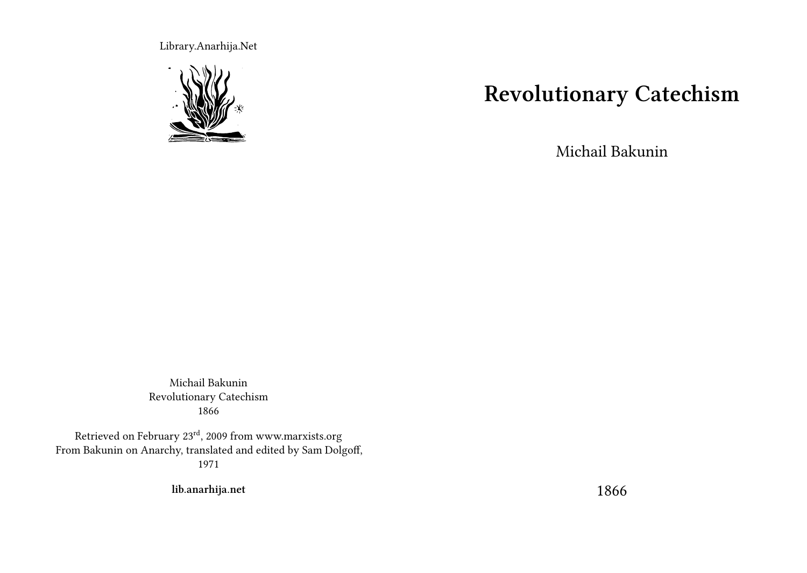Library.Anarhija.Net



## **Revolutionary Catechism**

Michail Bakunin

Michail Bakunin Revolutionary Catechism 1866

Retrieved on February 23rd, 2009 from www.marxists.org From Bakunin on Anarchy, translated and edited by Sam Dolgoff, 1971

**lib.anarhija.net**

1866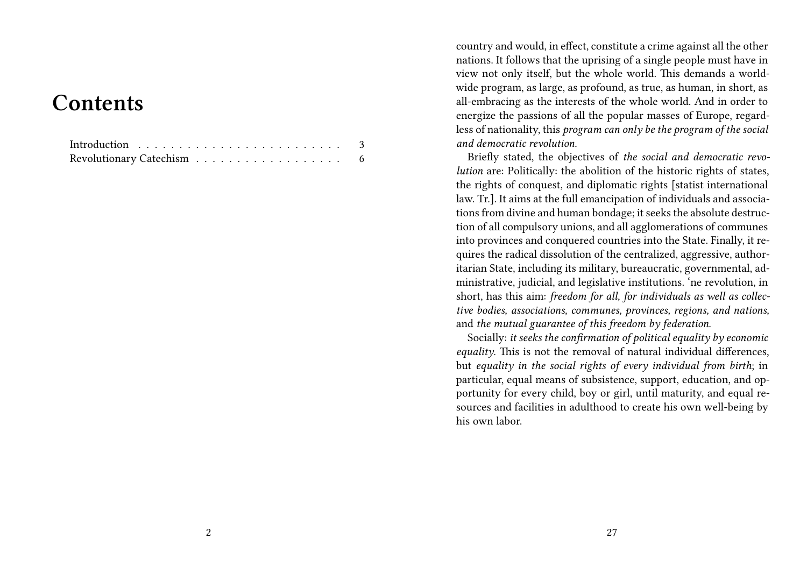## **Contents**

country and would, in effect, constitute a crime against all the other nations. It follows that the uprising of a single people must have in view not only itself, but the whole world. This demands a worldwide program, as large, as profound, as true, as human, in short, as all-embracing as the interests of the whole world. And in order to energize the passions of all the popular masses of Europe, regardless of nationality, this *program can only be the program of the social and democratic revolution.*

Briefly stated, the objectives of *the social and democratic revolution* are: Politically: the abolition of the historic rights of states, the rights of conquest, and diplomatic rights [statist international law. Tr.]. It aims at the full emancipation of individuals and associations from divine and human bondage; it seeks the absolute destruction of all compulsory unions, and all agglomerations of communes into provinces and conquered countries into the State. Finally, it requires the radical dissolution of the centralized, aggressive, authoritarian State, including its military, bureaucratic, governmental, administrative, judicial, and legislative institutions. 'ne revolution, in short, has this aim: *freedom for all, for individuals as well as collective bodies, associations, communes, provinces, regions, and nations,* and *the mutual guarantee of this freedom by federation*.

Socially: *it seeks the confirmation of political equality by economic equality*. This is not the removal of natural individual differences, but *equality in the social rights of every individual from birth*; in particular, equal means of subsistence, support, education, and opportunity for every child, boy or girl, until maturity, and equal resources and facilities in adulthood to create his own well-being by his own labor.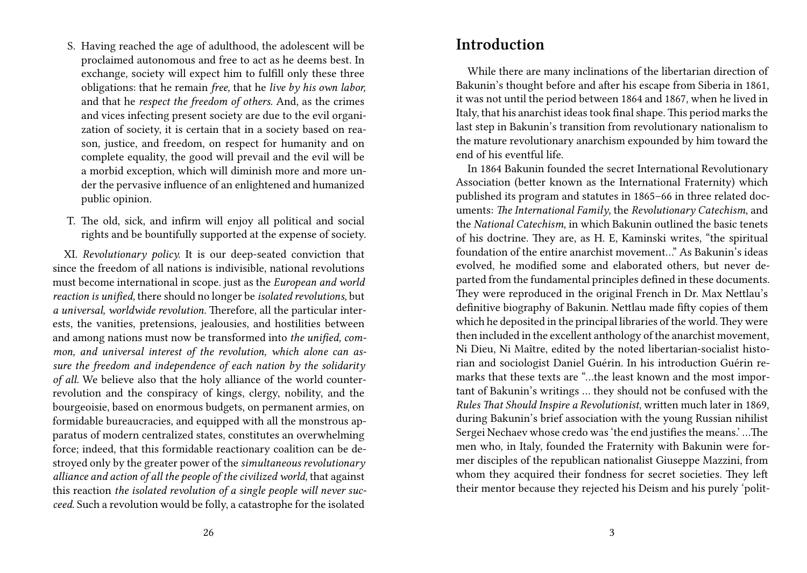- S. Having reached the age of adulthood, the adolescent will be proclaimed autonomous and free to act as he deems best. In exchange, society will expect him to fulfill only these three obligations: that he remain *free,* that he *live by his own labor,* and that he *respect the freedom of others.* And, as the crimes and vices infecting present society are due to the evil organization of society, it is certain that in a society based on reason, justice, and freedom, on respect for humanity and on complete equality, the good will prevail and the evil will be a morbid exception, which will diminish more and more under the pervasive influence of an enlightened and humanized public opinion.
- T. The old, sick, and infirm will enjoy all political and social rights and be bountifully supported at the expense of society.

XI. *Revolutionary policy.* It is our deep-seated conviction that since the freedom of all nations is indivisible, national revolutions must become international in scope. just as the *European and world reaction is unified,* there should no longer be *isolated revolutions,* but *a universal, worldwide revolution.* Therefore, all the particular interests, the vanities, pretensions, jealousies, and hostilities between and among nations must now be transformed into *the unified, common, and universal interest of the revolution, which alone can assure the freedom and independence of each nation by the solidarity of all.* We believe also that the holy alliance of the world counterrevolution and the conspiracy of kings, clergy, nobility, and the bourgeoisie, based on enormous budgets, on permanent armies, on formidable bureaucracies, and equipped with all the monstrous apparatus of modern centralized states, constitutes an overwhelming force; indeed, that this formidable reactionary coalition can be destroyed only by the greater power of the *simultaneous revolutionary alliance and action of all the people of the civilized world,* that against this reaction *the isolated revolution of a single people will never succeed.* Such a revolution would be folly, a catastrophe for the isolated

## **Introduction**

While there are many inclinations of the libertarian direction of Bakunin's thought before and after his escape from Siberia in 1861, it was not until the period between 1864 and 1867, when he lived in Italy, that his anarchist ideas took final shape. This period marks the last step in Bakunin's transition from revolutionary nationalism to the mature revolutionary anarchism expounded by him toward the end of his eventful life.

In 1864 Bakunin founded the secret International Revolutionary Association (better known as the International Fraternity) which published its program and statutes in 1865–66 in three related documents: *The International Family*, the *Revolutionary Catechism*, and the *National Catechism*, in which Bakunin outlined the basic tenets of his doctrine. They are, as H. E, Kaminski writes, "the spiritual foundation of the entire anarchist movement…" As Bakunin's ideas evolved, he modified some and elaborated others, but never departed from the fundamental principles defined in these documents. They were reproduced in the original French in Dr. Max Nettlau's definitive biography of Bakunin. Nettlau made fifty copies of them which he deposited in the principal libraries of the world.They were then included in the excellent anthology of the anarchist movement, Ni Dieu, Ni Maître, edited by the noted libertarian-socialist historian and sociologist Daniel Guérin. In his introduction Guérin remarks that these texts are "…the least known and the most important of Bakunin's writings … they should not be confused with the *Rules That Should Inspire a Revolutionist*, written much later in 1869, during Bakunin's brief association with the young Russian nihilist Sergei Nechaev whose credo was 'the end justifies the means.' …The men who, in Italy, founded the Fraternity with Bakunin were former disciples of the republican nationalist Giuseppe Mazzini, from whom they acquired their fondness for secret societies. They left their mentor because they rejected his Deism and his purely 'polit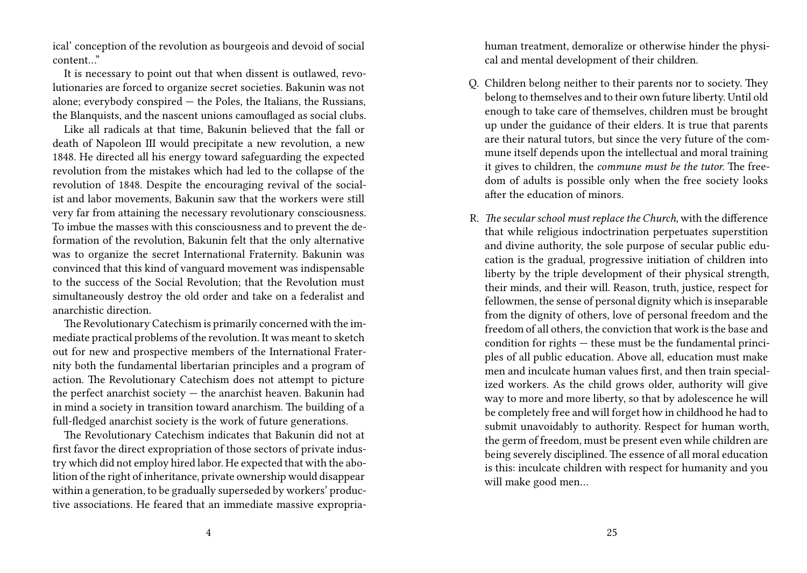ical' conception of the revolution as bourgeois and devoid of social content…"

It is necessary to point out that when dissent is outlawed, revolutionaries are forced to organize secret societies. Bakunin was not alone; everybody conspired — the Poles, the Italians, the Russians, the Blanquists, and the nascent unions camouflaged as social clubs.

Like all radicals at that time, Bakunin believed that the fall or death of Napoleon III would precipitate a new revolution, a new 1848. He directed all his energy toward safeguarding the expected revolution from the mistakes which had led to the collapse of the revolution of 1848. Despite the encouraging revival of the socialist and labor movements, Bakunin saw that the workers were still very far from attaining the necessary revolutionary consciousness. To imbue the masses with this consciousness and to prevent the deformation of the revolution, Bakunin felt that the only alternative was to organize the secret International Fraternity. Bakunin was convinced that this kind of vanguard movement was indispensable to the success of the Social Revolution; that the Revolution must simultaneously destroy the old order and take on a federalist and anarchistic direction.

The Revolutionary Catechism is primarily concerned with the immediate practical problems of the revolution. It was meant to sketch out for new and prospective members of the International Fraternity both the fundamental libertarian principles and a program of action. The Revolutionary Catechism does not attempt to picture the perfect anarchist society — the anarchist heaven. Bakunin had in mind a society in transition toward anarchism. The building of a full-fledged anarchist society is the work of future generations.

The Revolutionary Catechism indicates that Bakunin did not at first favor the direct expropriation of those sectors of private industry which did not employ hired labor. He expected that with the abolition of the right of inheritance, private ownership would disappear within a generation, to be gradually superseded by workers' productive associations. He feared that an immediate massive expropriahuman treatment, demoralize or otherwise hinder the physical and mental development of their children.

- Q. Children belong neither to their parents nor to society. They belong to themselves and to their own future liberty. Until old enough to take care of themselves, children must be brought up under the guidance of their elders. It is true that parents are their natural tutors, but since the very future of the commune itself depends upon the intellectual and moral training it gives to children, the *commune must be the tutor.* The freedom of adults is possible only when the free society looks after the education of minors.
- R. *The secular school must replace the Church,* with the difference that while religious indoctrination perpetuates superstition and divine authority, the sole purpose of secular public education is the gradual, progressive initiation of children into liberty by the triple development of their physical strength, their minds, and their will. Reason, truth, justice, respect for fellowmen, the sense of personal dignity which is inseparable from the dignity of others, love of personal freedom and the freedom of all others, the conviction that work is the base and condition for rights — these must be the fundamental principles of all public education. Above all, education must make men and inculcate human values first, and then train specialized workers. As the child grows older, authority will give way to more and more liberty, so that by adolescence he will be completely free and will forget how in childhood he had to submit unavoidably to authority. Respect for human worth, the germ of freedom, must be present even while children are being severely disciplined. The essence of all moral education is this: inculcate children with respect for humanity and you will make good men…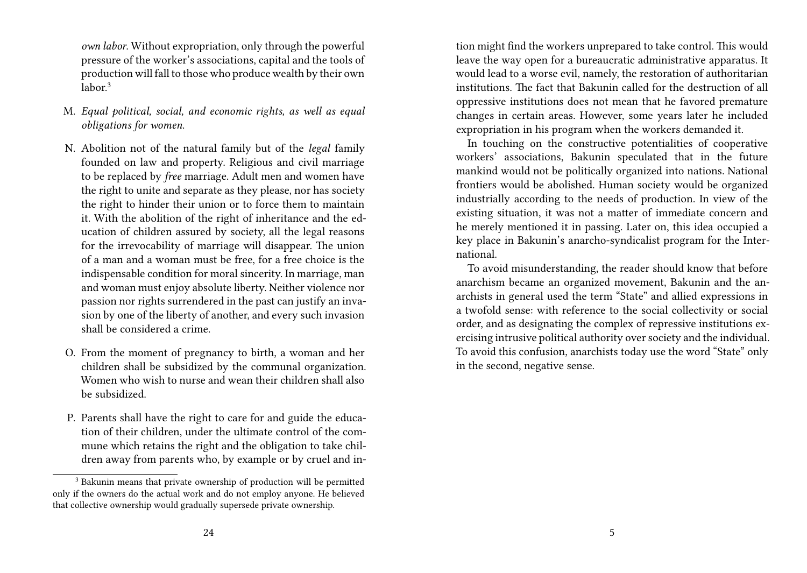*own labor*. Without expropriation, only through the powerful pressure of the worker's associations, capital and the tools of production will fall to those who produce wealth by their own  $labor.<sup>3</sup>$ 

- M. *Equal political, social, and economic rights, as well as equal obligations for women*.
- N. Abolition not of the natural family but of the *legal* family founded on law and property. Religious and civil marriage to be replaced by *free* marriage. Adult men and women have the right to unite and separate as they please, nor has society the right to hinder their union or to force them to maintain it. With the abolition of the right of inheritance and the education of children assured by society, all the legal reasons for the irrevocability of marriage will disappear. The union of a man and a woman must be free, for a free choice is the indispensable condition for moral sincerity. In marriage, man and woman must enjoy absolute liberty. Neither violence nor passion nor rights surrendered in the past can justify an invasion by one of the liberty of another, and every such invasion shall be considered a crime.
- O. From the moment of pregnancy to birth, a woman and her children shall be subsidized by the communal organization. Women who wish to nurse and wean their children shall also be subsidized.
- P. Parents shall have the right to care for and guide the education of their children, under the ultimate control of the commune which retains the right and the obligation to take children away from parents who, by example or by cruel and in-

tion might find the workers unprepared to take control. This would leave the way open for a bureaucratic administrative apparatus. It would lead to a worse evil, namely, the restoration of authoritarian institutions. The fact that Bakunin called for the destruction of all oppressive institutions does not mean that he favored premature changes in certain areas. However, some years later he included expropriation in his program when the workers demanded it.

In touching on the constructive potentialities of cooperative workers' associations, Bakunin speculated that in the future mankind would not be politically organized into nations. National frontiers would be abolished. Human society would be organized industrially according to the needs of production. In view of the existing situation, it was not a matter of immediate concern and he merely mentioned it in passing. Later on, this idea occupied a key place in Bakunin's anarcho-syndicalist program for the International.

To avoid misunderstanding, the reader should know that before anarchism became an organized movement, Bakunin and the anarchists in general used the term "State" and allied expressions in a twofold sense: with reference to the social collectivity or social order, and as designating the complex of repressive institutions exercising intrusive political authority over society and the individual. To avoid this confusion, anarchists today use the word "State" only in the second, negative sense.

<sup>&</sup>lt;sup>3</sup> Bakunin means that private ownership of production will be permitted only if the owners do the actual work and do not employ anyone. He believed that collective ownership would gradually supersede private ownership.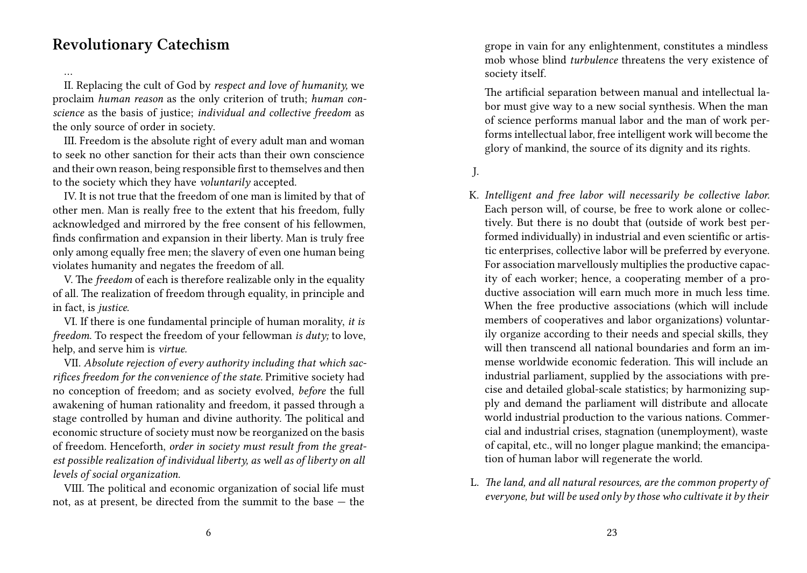## **Revolutionary Catechism**

II. Replacing the cult of God by *respect and love of humanity,* we proclaim *human reason* as the only criterion of truth; *human conscience* as the basis of justice; *individual and collective freedom* as the only source of order in society.

III. Freedom is the absolute right of every adult man and woman to seek no other sanction for their acts than their own conscience and their own reason, being responsible first to themselves and then to the society which they have *voluntarily* accepted.

IV. It is not true that the freedom of one man is limited by that of other men. Man is really free to the extent that his freedom, fully acknowledged and mirrored by the free consent of his fellowmen, finds confirmation and expansion in their liberty. Man is truly free only among equally free men; the slavery of even one human being violates humanity and negates the freedom of all.

V. The *freedom* of each is therefore realizable only in the equality of all. The realization of freedom through equality, in principle and in fact, is *justice.*

VI. If there is one fundamental principle of human morality, *it is freedom*. To respect the freedom of your fellowman *is duty;* to love, help, and serve him is *virtue.*

VII. *Absolute rejection of every authority including that which sacrifices freedom for the convenience of the state.* Primitive society had no conception of freedom; and as society evolved, *before* the full awakening of human rationality and freedom, it passed through a stage controlled by human and divine authority. The political and economic structure of society must now be reorganized on the basis of freedom. Henceforth, *order in society must result from the greatest possible realization of individual liberty, as well as of liberty on all levels of social organization.*

VIII. The political and economic organization of social life must not, as at present, be directed from the summit to the base — the grope in vain for any enlightenment, constitutes a mindless mob whose blind *turbulence* threatens the very existence of society itself.

The artificial separation between manual and intellectual labor must give way to a new social synthesis. When the man of science performs manual labor and the man of work performs intellectual labor, free intelligent work will become the glory of mankind, the source of its dignity and its rights.

J.

- K. *Intelligent and free labor will necessarily be collective labor.* Each person will, of course, be free to work alone or collectively. But there is no doubt that (outside of work best performed individually) in industrial and even scientific or artistic enterprises, collective labor will be preferred by everyone. For association marvellously multiplies the productive capacity of each worker; hence, a cooperating member of a productive association will earn much more in much less time. When the free productive associations (which will include members of cooperatives and labor organizations) voluntarily organize according to their needs and special skills, they will then transcend all national boundaries and form an immense worldwide economic federation. This will include an industrial parliament, supplied by the associations with precise and detailed global-scale statistics; by harmonizing supply and demand the parliament will distribute and allocate world industrial production to the various nations. Commercial and industrial crises, stagnation (unemployment), waste of capital, etc., will no longer plague mankind; the emancipation of human labor will regenerate the world.
- L. *The land, and all natural resources, are the common property of everyone, but will be used only by those who cultivate it by their*

<sup>…</sup>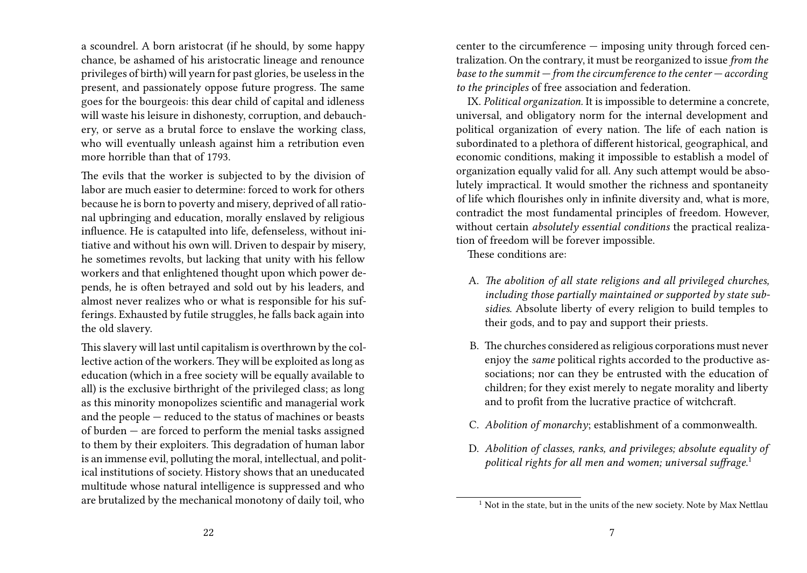a scoundrel. A born aristocrat (if he should, by some happy chance, be ashamed of his aristocratic lineage and renounce privileges of birth) will yearn for past glories, be useless in the present, and passionately oppose future progress. The same goes for the bourgeois: this dear child of capital and idleness will waste his leisure in dishonesty, corruption, and debauchery, or serve as a brutal force to enslave the working class, who will eventually unleash against him a retribution even more horrible than that of 1793.

The evils that the worker is subjected to by the division of labor are much easier to determine: forced to work for others because he is born to poverty and misery, deprived of all rational upbringing and education, morally enslaved by religious influence. He is catapulted into life, defenseless, without initiative and without his own will. Driven to despair by misery, he sometimes revolts, but lacking that unity with his fellow workers and that enlightened thought upon which power depends, he is often betrayed and sold out by his leaders, and almost never realizes who or what is responsible for his sufferings. Exhausted by futile struggles, he falls back again into the old slavery.

This slavery will last until capitalism is overthrown by the collective action of the workers. They will be exploited as long as education (which in a free society will be equally available to all) is the exclusive birthright of the privileged class; as long as this minority monopolizes scientific and managerial work and the people — reduced to the status of machines or beasts of burden — are forced to perform the menial tasks assigned to them by their exploiters. This degradation of human labor is an immense evil, polluting the moral, intellectual, and political institutions of society. History shows that an uneducated multitude whose natural intelligence is suppressed and who are brutalized by the mechanical monotony of daily toil, who

center to the circumference — imposing unity through forced centralization. On the contrary, it must be reorganized to issue *from the base to the summit — from the circumference to the center — according to the principles* of free association and federation.

IX. *Political organization.* It is impossible to determine a concrete, universal, and obligatory norm for the internal development and political organization of every nation. The life of each nation is subordinated to a plethora of different historical, geographical, and economic conditions, making it impossible to establish a model of organization equally valid for all. Any such attempt would be absolutely impractical. It would smother the richness and spontaneity of life which flourishes only in infinite diversity and, what is more, contradict the most fundamental principles of freedom. However, without certain *absolutely essential conditions* the practical realization of freedom will be forever impossible.

These conditions are:

- A. *The abolition of all state religions and all privileged churches, including those partially maintained or supported by state subsidies*. Absolute liberty of every religion to build temples to their gods, and to pay and support their priests.
- B. The churches considered as religious corporations must never enjoy the *same* political rights accorded to the productive associations; nor can they be entrusted with the education of children; for they exist merely to negate morality and liberty and to profit from the lucrative practice of witchcraft.
- C. *Abolition of monarchy*; establishment of a commonwealth.
- D. *Abolition of classes, ranks, and privileges; absolute equality of political rights for all men and women; universal suffrage*. 1

<sup>&</sup>lt;sup>1</sup> Not in the state, but in the units of the new society. Note by Max Nettlau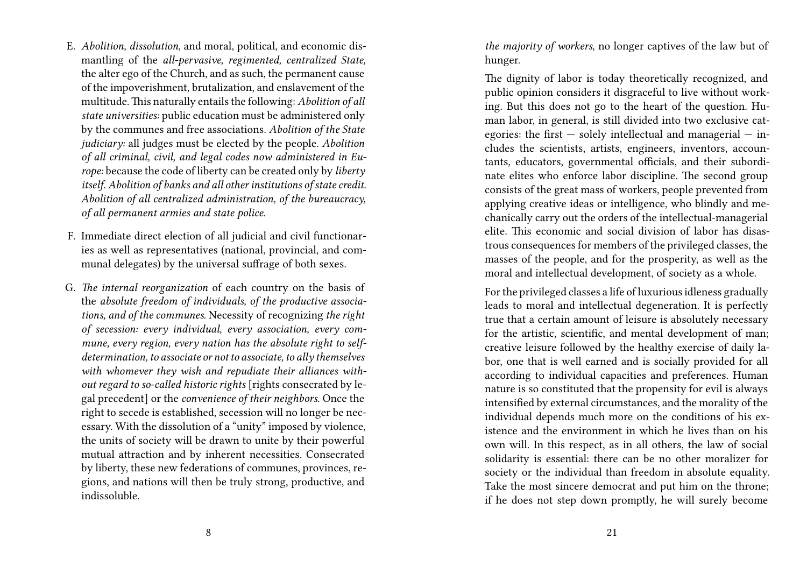- E. *Abolition, dissolution*, and moral, political, and economic dismantling of the *all-pervasive, regimented, centralized State,* the alter ego of the Church, and as such, the permanent cause of the impoverishment, brutalization, and enslavement of the multitude. This naturally entails the following: *Abolition of all state universities:* public education must be administered only by the communes and free associations. *Abolition of the State judiciary:* all judges must be elected by the people. *Abolition of all criminal, civil, and legal codes now administered in Europe:* because the code of liberty can be created only by *liberty itself. Abolition of banks and all other institutions of state credit. Abolition of all centralized administration, of the bureaucracy, of all permanent armies and state police.*
- F. Immediate direct election of all judicial and civil functionaries as well as representatives (national, provincial, and communal delegates) by the universal suffrage of both sexes.
- G. *The internal reorganization* of each country on the basis of the *absolute freedom of individuals, of the productive associations, and of the communes*. Necessity of recognizing *the right of secession: every individual, every association, every commune, every region, every nation has the absolute right to selfdetermination, to associate or not to associate, to ally themselves with whomever they wish and repudiate their alliances without regard to so-called historic rights* [rights consecrated by legal precedent] or the *convenience of their neighbors*. Once the right to secede is established, secession will no longer be necessary. With the dissolution of a "unity" imposed by violence, the units of society will be drawn to unite by their powerful mutual attraction and by inherent necessities. Consecrated by liberty, these new federations of communes, provinces, regions, and nations will then be truly strong, productive, and indissoluble.

*the majority of workers*, no longer captives of the law but of hunger.

The dignity of labor is today theoretically recognized, and public opinion considers it disgraceful to live without working. But this does not go to the heart of the question. Human labor, in general, is still divided into two exclusive categories: the first  $-$  solely intellectual and managerial  $-$  includes the scientists, artists, engineers, inventors, accountants, educators, governmental officials, and their subordinate elites who enforce labor discipline. The second group consists of the great mass of workers, people prevented from applying creative ideas or intelligence, who blindly and mechanically carry out the orders of the intellectual-managerial elite. This economic and social division of labor has disastrous consequences for members of the privileged classes, the masses of the people, and for the prosperity, as well as the moral and intellectual development, of society as a whole.

For the privileged classes a life of luxurious idleness gradually leads to moral and intellectual degeneration. It is perfectly true that a certain amount of leisure is absolutely necessary for the artistic, scientific, and mental development of man; creative leisure followed by the healthy exercise of daily labor, one that is well earned and is socially provided for all according to individual capacities and preferences. Human nature is so constituted that the propensity for evil is always intensified by external circumstances, and the morality of the individual depends much more on the conditions of his existence and the environment in which he lives than on his own will. In this respect, as in all others, the law of social solidarity is essential: there can be no other moralizer for society or the individual than freedom in absolute equality. Take the most sincere democrat and put him on the throne; if he does not step down promptly, he will surely become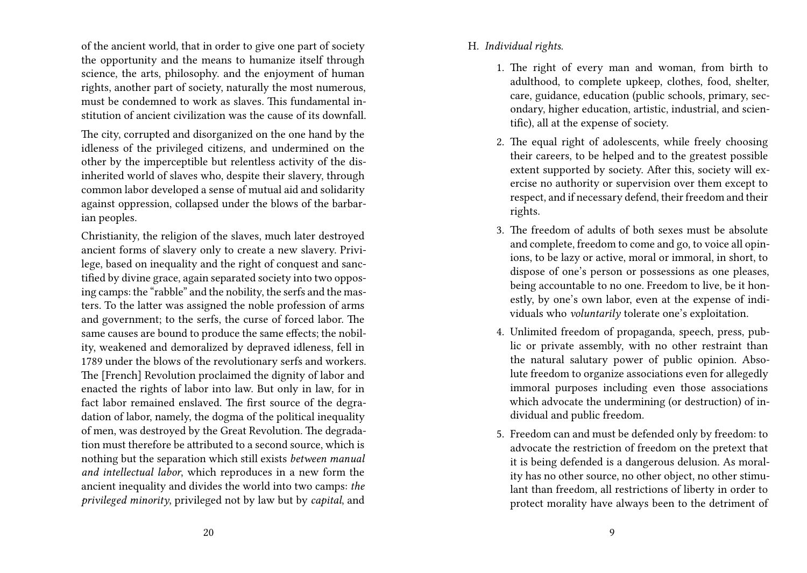of the ancient world, that in order to give one part of society the opportunity and the means to humanize itself through science, the arts, philosophy. and the enjoyment of human rights, another part of society, naturally the most numerous, must be condemned to work as slaves. This fundamental institution of ancient civilization was the cause of its downfall.

The city, corrupted and disorganized on the one hand by the idleness of the privileged citizens, and undermined on the other by the imperceptible but relentless activity of the disinherited world of slaves who, despite their slavery, through common labor developed a sense of mutual aid and solidarity against oppression, collapsed under the blows of the barbarian peoples.

Christianity, the religion of the slaves, much later destroyed ancient forms of slavery only to create a new slavery. Privilege, based on inequality and the right of conquest and sanctified by divine grace, again separated society into two opposing camps: the "rabble" and the nobility, the serfs and the masters. To the latter was assigned the noble profession of arms and government; to the serfs, the curse of forced labor. The same causes are bound to produce the same effects; the nobility, weakened and demoralized by depraved idleness, fell in 1789 under the blows of the revolutionary serfs and workers. The [French] Revolution proclaimed the dignity of labor and enacted the rights of labor into law. But only in law, for in fact labor remained enslaved. The first source of the degradation of labor, namely, the dogma of the political inequality of men, was destroyed by the Great Revolution. The degradation must therefore be attributed to a second source, which is nothing but the separation which still exists *between manual and intellectual labor*, which reproduces in a new form the ancient inequality and divides the world into two camps: *the privileged minority*, privileged not by law but by *capital*, and

H. *Individual rights*.

- 1. The right of every man and woman, from birth to adulthood, to complete upkeep, clothes, food, shelter, care, guidance, education (public schools, primary, secondary, higher education, artistic, industrial, and scientific), all at the expense of society.
- 2. The equal right of adolescents, while freely choosing their careers, to be helped and to the greatest possible extent supported by society. After this, society will exercise no authority or supervision over them except to respect, and if necessary defend, their freedom and their rights.
- 3. The freedom of adults of both sexes must be absolute and complete, freedom to come and go, to voice all opinions, to be lazy or active, moral or immoral, in short, to dispose of one's person or possessions as one pleases, being accountable to no one. Freedom to live, be it honestly, by one's own labor, even at the expense of individuals who *voluntarily* tolerate one's exploitation.
- 4. Unlimited freedom of propaganda, speech, press, public or private assembly, with no other restraint than the natural salutary power of public opinion. Absolute freedom to organize associations even for allegedly immoral purposes including even those associations which advocate the undermining (or destruction) of individual and public freedom.
- 5. Freedom can and must be defended only by freedom: to advocate the restriction of freedom on the pretext that it is being defended is a dangerous delusion. As morality has no other source, no other object, no other stimulant than freedom, all restrictions of liberty in order to protect morality have always been to the detriment of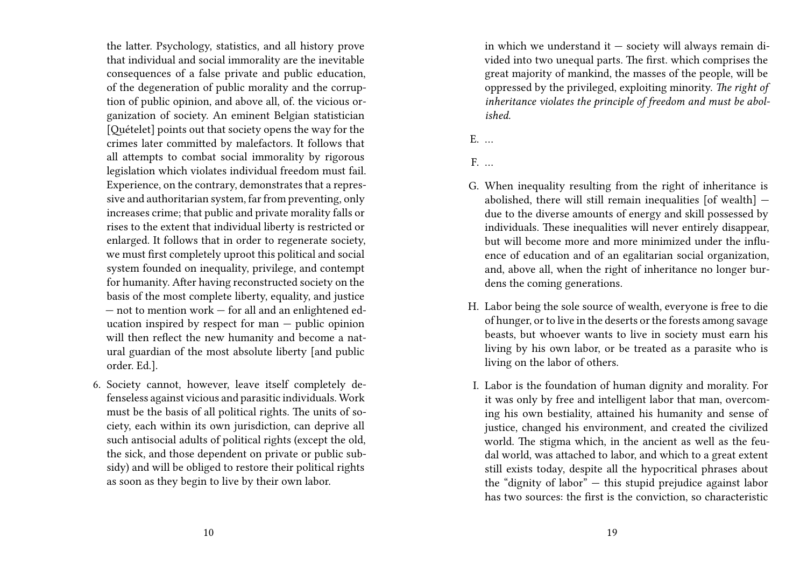the latter. Psychology, statistics, and all history prove that individual and social immorality are the inevitable consequences of a false private and public education, of the degeneration of public morality and the corruption of public opinion, and above all, of. the vicious organization of society. An eminent Belgian statistician [Quételet] points out that society opens the way for the crimes later committed by malefactors. It follows that all attempts to combat social immorality by rigorous legislation which violates individual freedom must fail. Experience, on the contrary, demonstrates that a repressive and authoritarian system, far from preventing, only increases crime; that public and private morality falls or rises to the extent that individual liberty is restricted or enlarged. It follows that in order to regenerate society, we must first completely uproot this political and social system founded on inequality, privilege, and contempt for humanity. After having reconstructed society on the basis of the most complete liberty, equality, and justice — not to mention work — for all and an enlightened education inspired by respect for man — public opinion will then reflect the new humanity and become a natural guardian of the most absolute liberty [and public order. Ed.].

6. Society cannot, however, leave itself completely defenseless against vicious and parasitic individuals. Work must be the basis of all political rights. The units of society, each within its own jurisdiction, can deprive all such antisocial adults of political rights (except the old, the sick, and those dependent on private or public subsidy) and will be obliged to restore their political rights as soon as they begin to live by their own labor.

in which we understand it — society will always remain divided into two unequal parts. The first. which comprises the great majority of mankind, the masses of the people, will be oppressed by the privileged, exploiting minority. *The right of inheritance violates the principle of freedom and must be abolished.*

E. …

F. …

- G. When inequality resulting from the right of inheritance is abolished, there will still remain inequalities [of wealth] due to the diverse amounts of energy and skill possessed by individuals. These inequalities will never entirely disappear, but will become more and more minimized under the influence of education and of an egalitarian social organization, and, above all, when the right of inheritance no longer burdens the coming generations.
- H. Labor being the sole source of wealth, everyone is free to die of hunger, or to live in the deserts or the forests among savage beasts, but whoever wants to live in society must earn his living by his own labor, or be treated as a parasite who is living on the labor of others.
- I. Labor is the foundation of human dignity and morality. For it was only by free and intelligent labor that man, overcoming his own bestiality, attained his humanity and sense of justice, changed his environment, and created the civilized world. The stigma which, in the ancient as well as the feudal world, was attached to labor, and which to a great extent still exists today, despite all the hypocritical phrases about the "dignity of labor" — this stupid prejudice against labor has two sources: the first is the conviction, so characteristic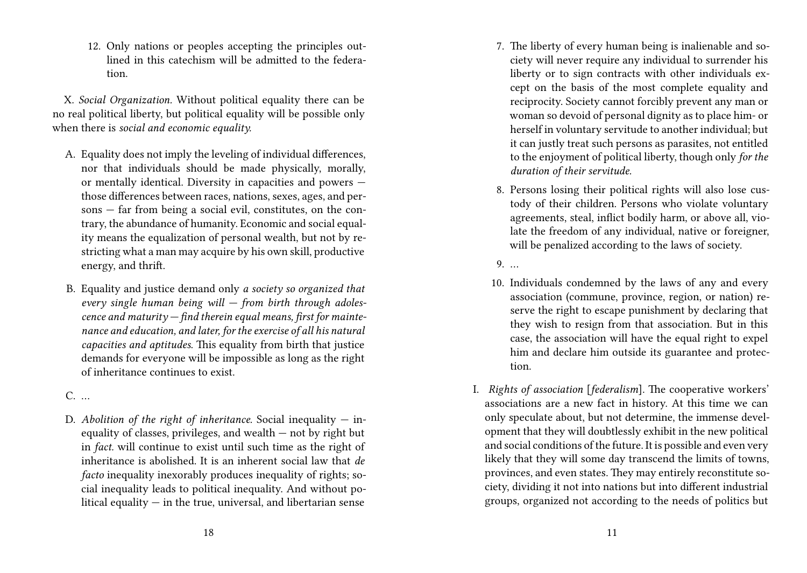12. Only nations or peoples accepting the principles outlined in this catechism will be admitted to the federation.

X. *Social Organization.* Without political equality there can be no real political liberty, but political equality will be possible only when there is *social and economic equality.*

- A. Equality does not imply the leveling of individual differences, nor that individuals should be made physically, morally, or mentally identical. Diversity in capacities and powers those differences between races, nations, sexes, ages, and persons — far from being a social evil, constitutes, on the contrary, the abundance of humanity. Economic and social equality means the equalization of personal wealth, but not by restricting what a man may acquire by his own skill, productive energy, and thrift.
- B. Equality and justice demand only *a society so organized that every single human being will — from birth through adolescence and maturity — find therein equal means, first for maintenance and education, and later, for the exercise of all his natural capacities and aptitudes*. This equality from birth that justice demands for everyone will be impossible as long as the right of inheritance continues to exist.

C. …

D. *Abolition of the right of inheritance.* Social inequality  $-$  inequality of classes, privileges, and wealth — not by right but in *fact.* will continue to exist until such time as the right of inheritance is abolished. It is an inherent social law that *de facto* inequality inexorably produces inequality of rights; social inequality leads to political inequality. And without political equality  $-$  in the true, universal, and libertarian sense

- 7. The liberty of every human being is inalienable and society will never require any individual to surrender his liberty or to sign contracts with other individuals except on the basis of the most complete equality and reciprocity. Society cannot forcibly prevent any man or woman so devoid of personal dignity as to place him- or herself in voluntary servitude to another individual; but it can justly treat such persons as parasites, not entitled to the enjoyment of political liberty, though only *for the duration of their servitude.*
- 8. Persons losing their political rights will also lose custody of their children. Persons who violate voluntary agreements, steal, inflict bodily harm, or above all, violate the freedom of any individual, native or foreigner, will be penalized according to the laws of society.
- 9. …
- 10. Individuals condemned by the laws of any and every association (commune, province, region, or nation) reserve the right to escape punishment by declaring that they wish to resign from that association. But in this case, the association will have the equal right to expel him and declare him outside its guarantee and protection.
- I. *Rights of association* [*federalism*]. The cooperative workers' associations are a new fact in history. At this time we can only speculate about, but not determine, the immense development that they will doubtlessly exhibit in the new political and social conditions of the future. It is possible and even very likely that they will some day transcend the limits of towns, provinces, and even states. They may entirely reconstitute society, dividing it not into nations but into different industrial groups, organized not according to the needs of politics but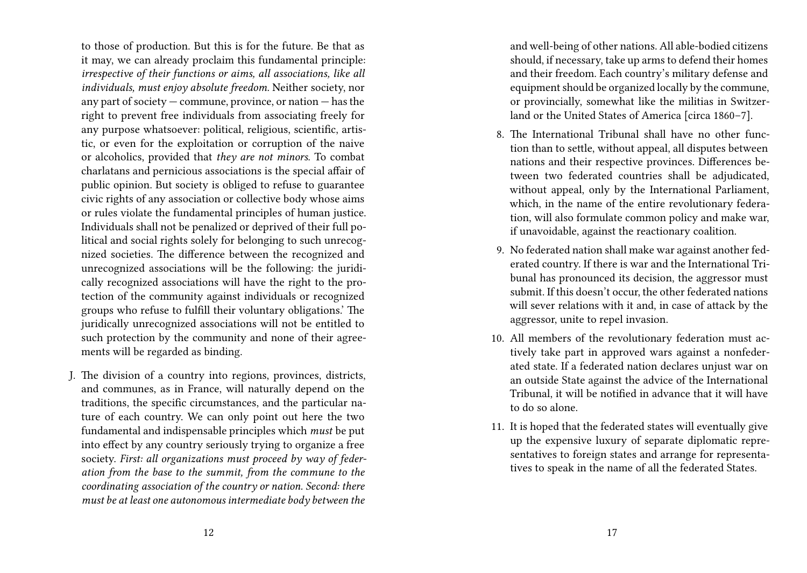to those of production. But this is for the future. Be that as it may, we can already proclaim this fundamental principle: *irrespective of their functions or aims, all associations, like all individuals, must enjoy absolute freedom.* Neither society, nor any part of society — commune, province, or nation — has the right to prevent free individuals from associating freely for any purpose whatsoever: political, religious, scientific, artistic, or even for the exploitation or corruption of the naive or alcoholics, provided that *they are not minors*. To combat charlatans and pernicious associations is the special affair of public opinion. But society is obliged to refuse to guarantee civic rights of any association or collective body whose aims or rules violate the fundamental principles of human justice. Individuals shall not be penalized or deprived of their full political and social rights solely for belonging to such unrecognized societies. The difference between the recognized and unrecognized associations will be the following: the juridically recognized associations will have the right to the protection of the community against individuals or recognized groups who refuse to fulfill their voluntary obligations.' The juridically unrecognized associations will not be entitled to such protection by the community and none of their agreements will be regarded as binding.

J. The division of a country into regions, provinces, districts, and communes, as in France, will naturally depend on the traditions, the specific circumstances, and the particular nature of each country. We can only point out here the two fundamental and indispensable principles which *must* be put into effect by any country seriously trying to organize a free society. *First: all organizations must proceed by way of federation from the base to the summit, from the commune to the coordinating association of the country or nation. Second: there must be at least one autonomous intermediate body between the*

and well-being of other nations. All able-bodied citizens should, if necessary, take up arms to defend their homes and their freedom. Each country's military defense and equipment should be organized locally by the commune, or provincially, somewhat like the militias in Switzerland or the United States of America [circa 1860–7].

- 8. The International Tribunal shall have no other function than to settle, without appeal, all disputes between nations and their respective provinces. Differences between two federated countries shall be adjudicated, without appeal, only by the International Parliament, which, in the name of the entire revolutionary federation, will also formulate common policy and make war, if unavoidable, against the reactionary coalition.
- 9. No federated nation shall make war against another federated country. If there is war and the International Tribunal has pronounced its decision, the aggressor must submit. If this doesn't occur, the other federated nations will sever relations with it and, in case of attack by the aggressor, unite to repel invasion.
- 10. All members of the revolutionary federation must actively take part in approved wars against a nonfederated state. If a federated nation declares unjust war on an outside State against the advice of the International Tribunal, it will be notified in advance that it will have to do so alone.
- 11. It is hoped that the federated states will eventually give up the expensive luxury of separate diplomatic representatives to foreign states and arrange for representatives to speak in the name of all the federated States.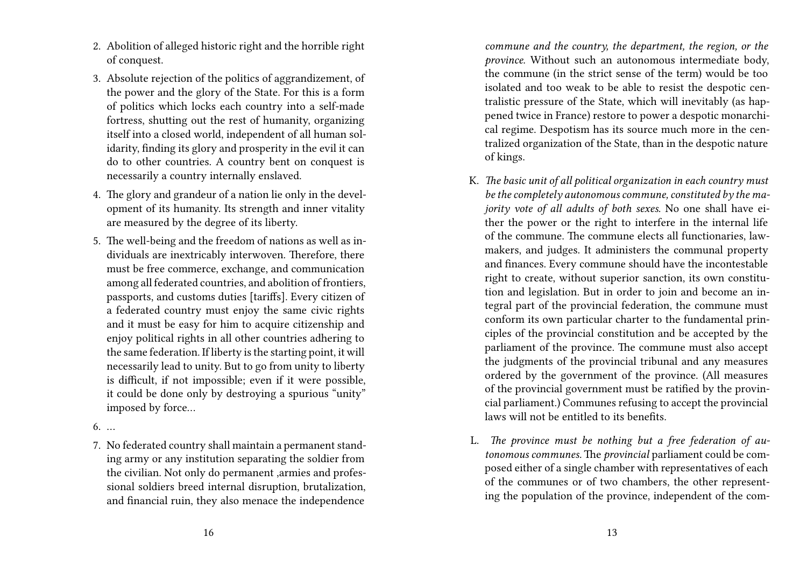- 2. Abolition of alleged historic right and the horrible right of conquest.
- 3. Absolute rejection of the politics of aggrandizement, of the power and the glory of the State. For this is a form of politics which locks each country into a self-made fortress, shutting out the rest of humanity, organizing itself into a closed world, independent of all human solidarity, finding its glory and prosperity in the evil it can do to other countries. A country bent on conquest is necessarily a country internally enslaved.
- 4. The glory and grandeur of a nation lie only in the development of its humanity. Its strength and inner vitality are measured by the degree of its liberty.
- 5. The well-being and the freedom of nations as well as individuals are inextricably interwoven. Therefore, there must be free commerce, exchange, and communication among all federated countries, and abolition of frontiers, passports, and customs duties [tariffs]. Every citizen of a federated country must enjoy the same civic rights and it must be easy for him to acquire citizenship and enjoy political rights in all other countries adhering to the same federation. If liberty is the starting point, it will necessarily lead to unity. But to go from unity to liberty is difficult, if not impossible; even if it were possible, it could be done only by destroying a spurious "unity" imposed by force…

6. …

7. No federated country shall maintain a permanent standing army or any institution separating the soldier from the civilian. Not only do permanent ,armies and professional soldiers breed internal disruption, brutalization, and financial ruin, they also menace the independence

*commune and the country, the department, the region, or the province*. Without such an autonomous intermediate body, the commune (in the strict sense of the term) would be too isolated and too weak to be able to resist the despotic centralistic pressure of the State, which will inevitably (as happened twice in France) restore to power a despotic monarchical regime. Despotism has its source much more in the centralized organization of the State, than in the despotic nature of kings.

- K. *The basic unit of all political organization in each country must be the completely autonomous commune, constituted by the majority vote of all adults of both sexes*. No one shall have either the power or the right to interfere in the internal life of the commune. The commune elects all functionaries, lawmakers, and judges. It administers the communal property and finances. Every commune should have the incontestable right to create, without superior sanction, its own constitution and legislation. But in order to join and become an integral part of the provincial federation, the commune must conform its own particular charter to the fundamental principles of the provincial constitution and be accepted by the parliament of the province. The commune must also accept the judgments of the provincial tribunal and any measures ordered by the government of the province. (All measures of the provincial government must be ratified by the provincial parliament.) Communes refusing to accept the provincial laws will not be entitled to its benefits.
- L. *The province must be nothing but a free federation of autonomous communes.* The *provincial* parliament could be composed either of a single chamber with representatives of each of the communes or of two chambers, the other representing the population of the province, independent of the com-